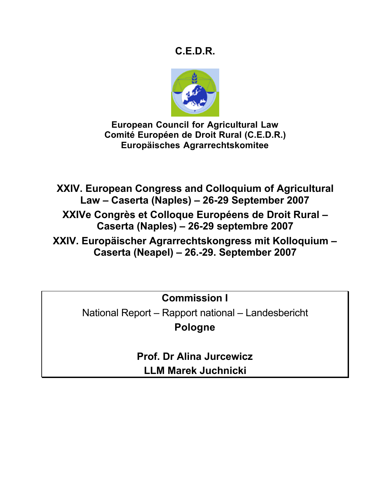# **C.E.D.R.**



**European Council for Agricultural Law Comité Européen de Droit Rural (C.E.D.R.) Europäisches Agrarrechtskomitee**

**XXIV. European Congress and Colloquium of Agricultural Law – Caserta (Naples) – 26-29 September 2007**

**XXIVe Congrès et Colloque Européens de Droit Rural – Caserta (Naples) – 26-29 septembre 2007**

**XXIV. Europäischer Agrarrechtskongress mit Kolloquium – Caserta (Neapel) – 26.-29. September 2007**

**Commission I**

National Report – Rapport national – Landesbericht **Pologne**

> **Prof. Dr Alina Jurcewicz LLM Marek Juchnicki**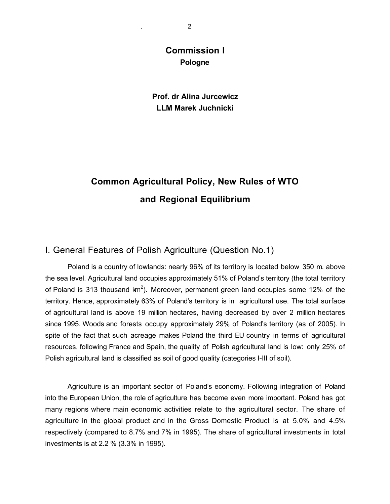# **Commission I Pologne**

## **Prof. dr Alina Jurcewicz LLM Marek Juchnicki**

# **Common Agricultural Policy, New Rules of WTO and Regional Equilibrium**

## I. General Features of Polish Agriculture (Question No.1)

Poland is a country of lowlands: nearly 96% of its territory is located below 350 m. above the sea level. Agricultural land occupies approximately 51% of Poland's territory (the total territory of Poland is 313 thousand  $km^2$ ). Moreover, permanent green land occupies some 12% of the territory. Hence, approximately 63% of Poland's territory is in agricultural use. The total surface of agricultural land is above 19 million hectares, having decreased by over 2 million hectares since 1995. Woods and forests occupy approximately 29% of Poland's territory (as of 2005). In spite of the fact that such acreage makes Poland the third EU country in terms of agricultural resources, following France and Spain, the quality of Polish agricultural land is low: only 25% of Polish agricultural land is classified as soil of good quality (categories I-III of soil).

Agriculture is an important sector of Poland's economy. Following integration of Poland into the European Union, the role of agriculture has become even more important. Poland has got many regions where main economic activities relate to the agricultural sector. The share of agriculture in the global product and in the Gross Domestic Product is at 5.0% and 4.5% respectively (compared to 8.7% and 7% in 1995). The share of agricultural investments in total investments is at 2.2 % (3.3% in 1995).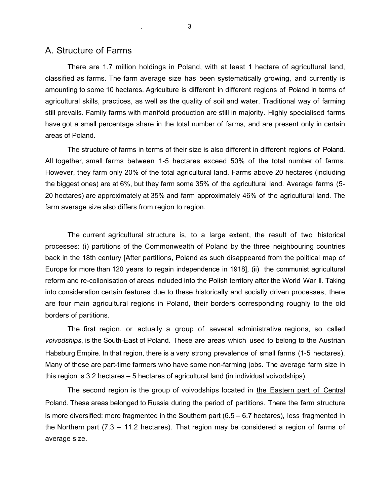## A. Structure of Farms

There are 1.7 million holdings in Poland, with at least 1 hectare of agricultural land, classified as farms. The farm average size has been systematically growing, and currently is amounting to some 10 hectares. Agriculture is different in different regions of Poland in terms of agricultural skills, practices, as well as the quality of soil and water. Traditional way of farming still prevails. Family farms with manifold production are still in majority. Highly specialised farms have got a small percentage share in the total number of farms, and are present only in certain areas of Poland.

The structure of farms in terms of their size is also different in different regions of Poland. All together, small farms between 1-5 hectares exceed 50% of the total number of farms. However, they farm only 20% of the total agricultural land. Farms above 20 hectares (including the biggest ones) are at 6%, but they farm some 35% of the agricultural land. Average farms (5- 20 hectares) are approximately at 35% and farm approximately 46% of the agricultural land. The farm average size also differs from region to region.

The current agricultural structure is, to a large extent, the result of two historical processes: (i) partitions of the Commonwealth of Poland by the three neighbouring countries back in the 18th century [After partitions, Poland as such disappeared from the political map of Europe for more than 120 years to regain independence in 1918], (ii) the communist agricultural reform and re-collonisation of areas included into the Polish territory after the World War II. Taking into consideration certain features due to these historically and socially driven processes, there are four main agricultural regions in Poland, their borders corresponding roughly to the old borders of partitions.

The first region, or actually a group of several administrative regions, so called *voivodships*, is the South-East of Poland. These are areas which used to belong to the Austrian Habsburg Empire. In that region, there is a very strong prevalence of small farms (1-5 hectares). Many of these are part-time farmers who have some non-farming jobs. The average farm size in this region is 3.2 hectares – 5 hectares of agricultural land (in individual voivodships).

The second region is the group of voivodships located in the Eastern part of Central Poland. These areas belonged to Russia during the period of partitions. There the farm structure is more diversified: more fragmented in the Southern part (6.5 – 6.7 hectares), less fragmented in the Northern part (7.3 – 11.2 hectares). That region may be considered a region of farms of average size.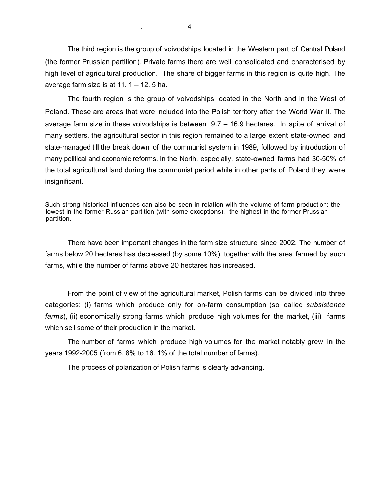The third region is the group of voivodships located in the Western part of Central Poland (the former Prussian partition). Private farms there are well consolidated and characterised by high level of agricultural production. The share of bigger farms in this region is quite high. The average farm size is at  $11. 1 - 12. 5$  ha.

The fourth region is the group of voivodships located in the North and in the West of Poland. These are areas that were included into the Polish territory after the World War II. The average farm size in these voivodships is between  $9.7 - 16.9$  hectares. In spite of arrival of many settlers, the agricultural sector in this region remained to a large extent state-owned and state-managed till the break down of the communist system in 1989, followed by introduction of many political and economic reforms. In the North, especially, state-owned farms had 30-50% of the total agricultural land during the communist period while in other parts of Poland they were insignificant.

Such strong historical influences can also be seen in relation with the volume of farm production: the lowest in the former Russian partition (with some exceptions), the highest in the former Prussian partition.

There have been important changes in the farm size structure since 2002. The number of farms below 20 hectares has decreased (by some 10%), together with the area farmed by such farms, while the number of farms above 20 hectares has increased.

From the point of view of the agricultural market, Polish farms can be divided into three categories: (i) farms which produce only for on-farm consumption (so called *subsistence* farms), (ii) economically strong farms which produce high volumes for the market, (iii) farms which sell some of their production in the market.

The number of farms which produce high volumes for the market notably grew in the years 1992-2005 (from 6. 8% to 16. 1% of the total number of farms).

The process of polarization of Polish farms is clearly advancing.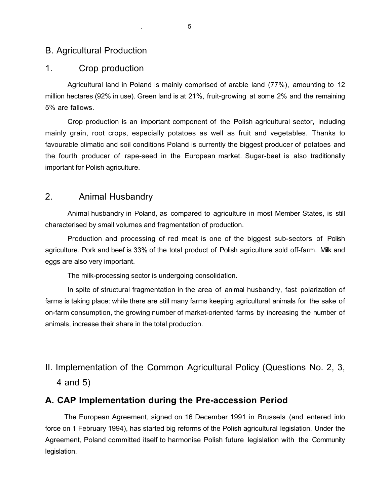## B. Agricultural Production

#### 1. Crop production

Agricultural land in Poland is mainly comprised of arable land (77%), amounting to 12 million hectares (92% in use). Green land is at 21%, fruit-growing at some 2% and the remaining 5% are fallows.

Crop production is an important component of the Polish agricultural sector, including mainly grain, root crops, especially potatoes as well as fruit and vegetables. Thanks to favourable climatic and soil conditions Poland is currently the biggest producer of potatoes and the fourth producer of rape-seed in the European market. Sugar-beet is also traditionally important for Polish agriculture.

## 2. Animal Husbandry

Animal husbandry in Poland, as compared to agriculture in most Member States, is still characterised by small volumes and fragmentation of production.

Production and processing of red meat is one of the biggest sub-sectors of Polish agriculture. Pork and beef is 33% of the total product of Polish agriculture sold off-farm. Milk and eggs are also very important.

The milk-processing sector is undergoing consolidation.

In spite of structural fragmentation in the area of animal husbandry, fast polarization of farms is taking place: while there are still many farms keeping agricultural animals for the sake of on-farm consumption, the growing number of market-oriented farms by increasing the number of animals, increase their share in the total production.

# II. Implementation of the Common Agricultural Policy (Questions No. 2, 3, 4 and 5)

#### **A. CAP Implementation during the Pre-accession Period**

The European Agreement, signed on 16 December 1991 in Brussels (and entered into force on 1 February 1994), has started big reforms of the Polish agricultural legislation. Under the Agreement, Poland committed itself to harmonise Polish future legislation with the Community legislation.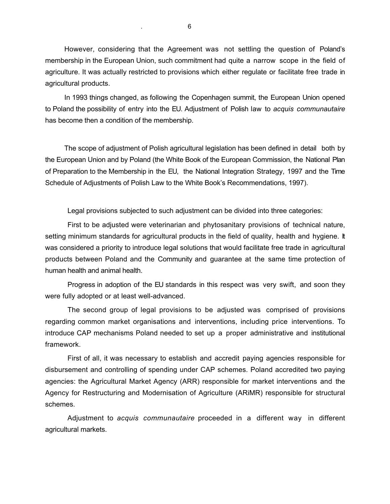However, considering that the Agreement was not settling the question of Poland's membership in the European Union, such commitment had quite a narrow scope in the field of agriculture. It was actually restricted to provisions which either regulate or facilitate free trade in agricultural products.

In 1993 things changed, as following the Copenhagen summit, the European Union opened to Poland the possibility of entry into the EU. Adjustment of Polish law to *acquis communautaire* has become then a condition of the membership.

The scope of adjustment of Polish agricultural legislation has been defined in detail both by the European Union and by Poland (the White Book of the European Commission, the National Plan of Preparation to the Membership in the EU, the National Integration Strategy, 1997 and the Time Schedule of Adjustments of Polish Law to the White Book's Recommendations, 1997).

Legal provisions subjected to such adjustment can be divided into three categories:

First to be adjusted were veterinarian and phytosanitary provisions of technical nature, setting minimum standards for agricultural products in the field of quality, health and hygiene. It was considered a priority to introduce legal solutions that would facilitate free trade in agricultural products between Poland and the Community and guarantee at the same time protection of human health and animal health.

Progress in adoption of the EU standards in this respect was very swift, and soon they were fully adopted or at least well-advanced.

The second group of legal provisions to be adjusted was comprised of provisions regarding common market organisations and interventions, including price interventions. To introduce CAP mechanisms Poland needed to set up a proper administrative and institutional framework.

First of all, it was necessary to establish and accredit paying agencies responsible for disbursement and controlling of spending under CAP schemes. Poland accredited two paying agencies: the Agricultural Market Agency (ARR) responsible for market interventions and the Agency for Restructuring and Modernisation of Agriculture (ARiMR) responsible for structural schemes.

Adjustment to *acquis communautaire* proceeded in a different way in different agricultural markets.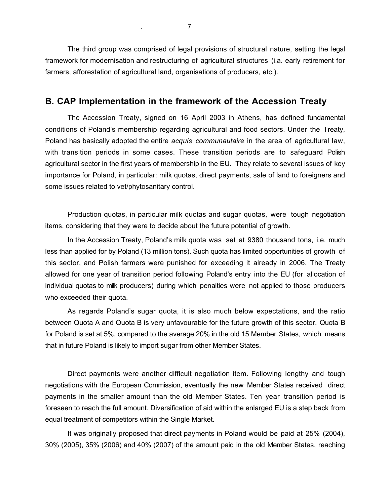The third group was comprised of legal provisions of structural nature, setting the legal framework for modernisation and restructuring of agricultural structures (i.a. early retirement for farmers, afforestation of agricultural land, organisations of producers, etc.).

#### **B. CAP Implementation in the framework of the Accession Treaty**

The Accession Treaty, signed on 16 April 2003 in Athens, has defined fundamental conditions of Poland's membership regarding agricultural and food sectors. Under the Treaty, Poland has basically adopted the entire *acquis communautaire* in the area of agricultural law, with transition periods in some cases. These transition periods are to safeguard Polish agricultural sector in the first years of membership in the EU. They relate to several issues of key importance for Poland, in particular: milk quotas, direct payments, sale of land to foreigners and some issues related to vet/phytosanitary control.

Production quotas, in particular milk quotas and sugar quotas, were tough negotiation items, considering that they were to decide about the future potential of growth.

In the Accession Treaty, Poland's milk quota was set at 9380 thousand tons, i.e. much less than applied for by Poland (13 million tons). Such quota has limited opportunities of growth of this sector, and Polish farmers were punished for exceeding it already in 2006. The Treaty allowed for one year of transition period following Poland's entry into the EU (for allocation of individual quotas to milk producers) during which penalties were not applied to those producers who exceeded their quota.

As regards Poland's sugar quota, it is also much below expectations, and the ratio between Quota A and Quota B is very unfavourable for the future growth of this sector. Quota B for Poland is set at 5%, compared to the average 20% in the old 15 Member States, which means that in future Poland is likely to import sugar from other Member States.

Direct payments were another difficult negotiation item. Following lengthy and tough negotiations with the European Commission, eventually the new Member States received direct payments in the smaller amount than the old Member States. Ten year transition period is foreseen to reach the full amount. Diversification of aid within the enlarged EU is a step back from equal treatment of competitors within the Single Market.

It was originally proposed that direct payments in Poland would be paid at 25% (2004), 30% (2005), 35% (2006) and 40% (2007) of the amount paid in the old Member States, reaching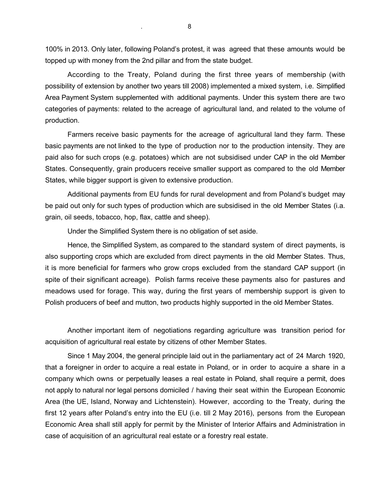100% in 2013. Only later, following Poland's protest, it was agreed that these amounts would be topped up with money from the 2nd pillar and from the state budget.

According to the Treaty, Poland during the first three years of membership (with possibility of extension by another two years till 2008) implemented a mixed system, i.e. Simplified Area Payment System supplemented with additional payments. Under this system there are two categories of payments: related to the acreage of agricultural land, and related to the volume of production.

Farmers receive basic payments for the acreage of agricultural land they farm. These basic payments are not linked to the type of production nor to the production intensity. They are paid also for such crops (e.g. potatoes) which are not subsidised under CAP in the old Member States. Consequently, grain producers receive smaller support as compared to the old Member States, while bigger support is given to extensive production.

Additional payments from EU funds for rural development and from Poland's budget may be paid out only for such types of production which are subsidised in the old Member States (i.a. grain, oil seeds, tobacco, hop, flax, cattle and sheep).

Under the Simplified System there is no obligation of set aside.

Hence, the Simplified System, as compared to the standard system of direct payments, is also supporting crops which are excluded from direct payments in the old Member States. Thus, it is more beneficial for farmers who grow crops excluded from the standard CAP support (in spite of their significant acreage). Polish farms receive these payments also for pastures and meadows used for forage. This way, during the first years of membership support is given to Polish producers of beef and mutton, two products highly supported in the old Member States.

Another important item of negotiations regarding agriculture was transition period for acquisition of agricultural real estate by citizens of other Member States.

Since 1 May 2004, the general principle laid out in the parliamentary act of 24 March 1920, that a foreigner in order to acquire a real estate in Poland, or in order to acquire a share in a company which owns or perpetually leases a real estate in Poland, shall require a permit, does not apply to natural nor legal persons domiciled / having their seat within the European Economic Area (the UE, Island, Norway and Lichtenstein). However, according to the Treaty, during the first 12 years after Poland's entry into the EU (i.e. till 2 May 2016), persons from the European Economic Area shall still apply for permit by the Minister of Interior Affairs and Administration in case of acquisition of an agricultural real estate or a forestry real estate.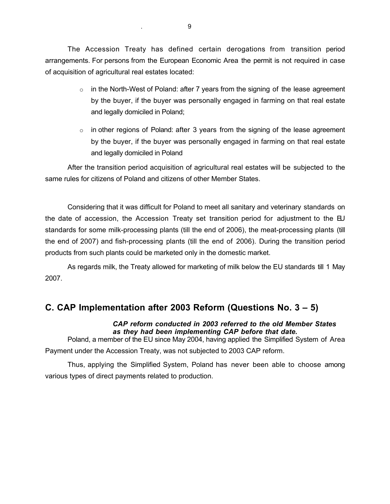The Accession Treaty has defined certain derogations from transition period arrangements. For persons from the European Economic Area the permit is not required in case of acquisition of agricultural real estates located:

- $\circ$  in the North-West of Poland: after 7 years from the signing of the lease agreement by the buyer, if the buyer was personally engaged in farming on that real estate and legally domiciled in Poland;
- $\circ$  in other regions of Poland: after 3 years from the signing of the lease agreement by the buyer, if the buyer was personally engaged in farming on that real estate and legally domiciled in Poland

After the transition period acquisition of agricultural real estates will be subjected to the same rules for citizens of Poland and citizens of other Member States.

Considering that it was difficult for Poland to meet all sanitary and veterinary standards on the date of accession, the Accession Treaty set transition period for adjustment to the EU standards for some milk-processing plants (till the end of 2006), the meat-processing plants (till the end of 2007) and fish-processing plants (till the end of 2006). During the transition period products from such plants could be marketed only in the domestic market.

As regards milk, the Treaty allowed for marketing of milk below the EU standards till 1 May 2007.

# **C. CAP Implementation after 2003 Reform (Questions No. 3 – 5)**

*CAP reform conducted in 2003 referred to the old Member States as they had been implementing CAP before that date.*

Poland, a member of the EU since May 2004, having applied the Simplified System of Area Payment under the Accession Treaty, was not subjected to 2003 CAP reform.

Thus, applying the Simplified System, Poland has never been able to choose among various types of direct payments related to production.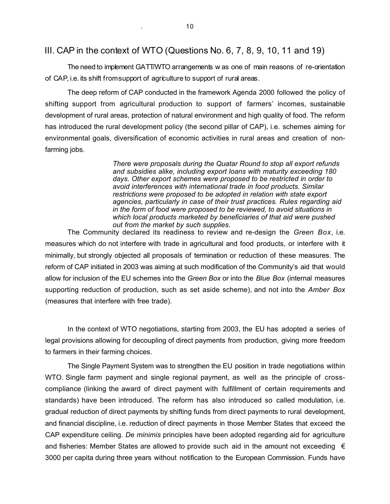#### III. CAP in the context of WTO (Questions No. 6, 7, 8, 9, 10, 11 and 19)

The need to implement GATT/WTO arrangements w as one of main reasons of re-orientation of CAP, i.e. its shift fromsupport of agriculture to support of rural areas.

The deep reform of CAP conducted in the framework Agenda 2000 followed the policy of shifting support from agricultural production to support of farmers' incomes, sustainable development of rural areas, protection of natural environment and high quality of food. The reform has introduced the rural development policy (the second pillar of CAP), i.e. schemes aiming for environmental goals, diversification of economic activities in rural areas and creation of nonfarming jobs.

> *There were proposals during the Quatar Round to stop all export refunds and subsidies alike, including export loans with maturity exceeding 180 days. Other export schemes were proposed to be restricted in order to avoid interferences with international trade in food products. Similar restrictions were proposed to be adopted in relation with state export agencies, particularly in case of their trust practices. Rules regarding aid in the form of food were proposed to be reviewed, to avoid situations in which local products marketed by beneficiaries of that aid were pushed out from the market by such supplies.*

The Community declared its readiness to review and re-design the *Green Box*, i.e. measures which do not interfere with trade in agricultural and food products, or interfere with it minimally, but strongly objected all proposals of termination or reduction of these measures. The reform of CAP initiated in 2003 was aiming at such modification of the Community's aid that would allow for inclusion of the EU schemes into the *Green Box* or into the *Blue Box* (internal measures supporting reduction of production, such as set aside scheme), and not into the *Amber Box* (measures that interfere with free trade).

In the context of WTO negotiations, starting from 2003, the EU has adopted a series of legal provisions allowing for decoupling of direct payments from production, giving more freedom to farmers in their farming choices.

The Single Payment System was to strengthen the EU position in trade negotiations within WTO. Single farm payment and single regional payment, as well as the principle of crosscompliance (linking the award of direct payment with fulfillment of certain requirements and standards) have been introduced. The reform has also introduced so called modulation, i.e. gradual reduction of direct payments by shifting funds from direct payments to rural development, and financial discipline, i.e. reduction of direct payments in those Member States that exceed the CAP expenditure ceiling. *De minimis* principles have been adopted regarding aid for agriculture and fisheries: Member States are allowed to provide such aid in the amount not exceeding  $\epsilon$ 3000 per capita during three years without notification to the European Commission. Funds have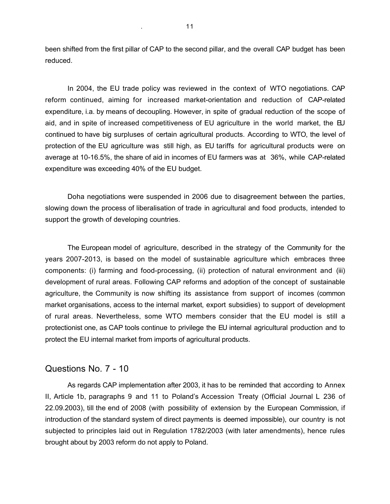been shifted from the first pillar of CAP to the second pillar, and the overall CAP budget has been reduced.

In 2004, the EU trade policy was reviewed in the context of WTO negotiations. CAP reform continued, aiming for increased market-orientation and reduction of CAP-related expenditure, i.a. by means of decoupling. However, in spite of gradual reduction of the scope of aid, and in spite of increased competitiveness of EU agriculture in the world market, the EU continued to have big surpluses of certain agricultural products. According to WTO, the level of protection of the EU agriculture was still high, as EU tariffs for agricultural products were on average at 10-16.5%, the share of aid in incomes of EU farmers was at 36%, while CAP-related expenditure was exceeding 40% of the EU budget.

Doha negotiations were suspended in 2006 due to disagreement between the parties, slowing down the process of liberalisation of trade in agricultural and food products, intended to support the growth of developing countries.

The European model of agriculture, described in the strategy of the Community for the years 2007-2013, is based on the model of sustainable agriculture which embraces three components: (i) farming and food-processing, (ii) protection of natural environment and (iii) development of rural areas. Following CAP reforms and adoption of the concept of sustainable agriculture, the Community is now shifting its assistance from support of incomes (common market organisations, access to the internal market, export subsidies) to support of development of rural areas. Nevertheless, some WTO members consider that the EU model is still a protectionist one, as CAP tools continue to privilege the EU internal agricultural production and to protect the EU internal market from imports of agricultural products.

#### Questions No. 7 - 10

As regards CAP implementation after 2003, it has to be reminded that according to Annex II, Article 1b, paragraphs 9 and 11 to Poland's Accession Treaty (Official Journal L 236 of 22.09.2003), till the end of 2008 (with possibility of extension by the European Commission, if introduction of the standard system of direct payments is deemed impossible), our country is not subjected to principles laid out in Regulation 1782/2003 (with later amendments), hence rules brought about by 2003 reform do not apply to Poland.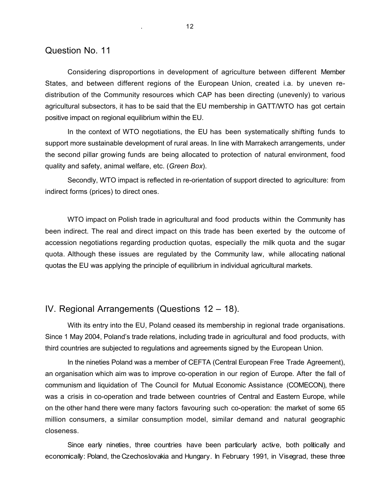#### Question No. 11

Considering disproportions in development of agriculture between different Member States, and between different regions of the European Union, created i.a. by uneven redistribution of the Community resources which CAP has been directing (unevenly) to various agricultural subsectors, it has to be said that the EU membership in GATT/WTO has got certain positive impact on regional equilibrium within the EU.

In the context of WTO negotiations, the EU has been systematically shifting funds to support more sustainable development of rural areas. In line with Marrakech arrangements, under the second pillar growing funds are being allocated to protection of natural environment, food quality and safety, animal welfare, etc. (*Green Box*).

Secondly, WTO impact is reflected in re-orientation of support directed to agriculture: from indirect forms (prices) to direct ones.

WTO impact on Polish trade in agricultural and food products within the Community has been indirect. The real and direct impact on this trade has been exerted by the outcome of accession negotiations regarding production quotas, especially the milk quota and the sugar quota. Although these issues are regulated by the Community law, while allocating national quotas the EU was applying the principle of equilibrium in individual agricultural markets.

## IV. Regional Arrangements (Questions 12 – 18).

With its entry into the EU, Poland ceased its membership in regional trade organisations. Since 1 May 2004, Poland's trade relations, including trade in agricultural and food products, with third countries are subjected to regulations and agreements signed by the European Union.

In the nineties Poland was a member of CEFTA (Central European Free Trade Agreement), an organisation which aim was to improve co-operation in our region of Europe. After the fall of communism and liquidation of The Council for Mutual Economic Assistance (COMECON), there was a crisis in co-operation and trade between countries of Central and Eastern Europe, while on the other hand there were many factors favouring such co-operation: the market of some 65 million consumers, a similar consumption model, similar demand and natural geographic closeness.

Since early nineties, three countries have been particularly active, both politically and economically: Poland, the Czechoslovakia and Hungary. In February 1991, in Visegrad, these three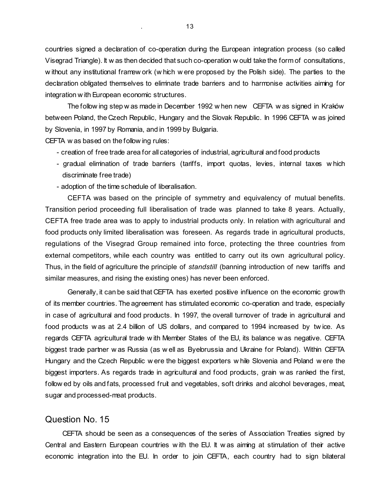countries signed a declaration of co-operation during the European integration process (so called Visegrad Triangle). It w as then decided that such co-operation w ould take the form of consultations, w ithout any institutional framew ork (w hich w ere proposed by the Polish side). The parties to the declaration obligated themselves to eliminate trade barriers and to harmonise activities aiming for integration w ith European economic structures.

The follow ing step w as made in December 1992 w hen new CEFTA w as signed in Kraków between Poland, the Czech Republic, Hungary and the Slovak Republic. In 1996 CEFTA w as joined by Slovenia, in 1997 by Romania, and in 1999 by Bulgaria.

CEFTA w as based on the follow ing rules:

- creation of free trade area for all categories of industrial, agricultural and food products
- gradual elimination of trade barriers (tariffs, import quotas, levies, internal taxes w hich discriminate free trade)
- adoption of the time schedule of liberalisation.

CEFTA was based on the principle of symmetry and equivalency of mutual benefits. Transition period proceeding full liberalisation of trade was planned to take 8 years. Actually, CEFTA free trade area was to apply to industrial products only. In relation with agricultural and food products only limited liberalisation was foreseen. As regards trade in agricultural products, regulations of the Visegrad Group remained into force, protecting the three countries from external competitors, while each country was entitled to carry out its own agricultural policy. Thus, in the field of agriculture the principle of *standstill* (banning introduction of new tariffs and similar measures, and rising the existing ones) has never been enforced.

Generally, it can be said that CEFTA has exerted positive influence on the economic growth of its member countries. The agreement has stimulated economic co-operation and trade, especially in case of agricultural and food products. In 1997, the overall turnover of trade in agricultural and food products w as at 2.4 billion of US dollars, and compared to 1994 increased by tw ice. As regards CEFTA agricultural trade w ith Member States of the EU, its balance w as negative. CEFTA biggest trade partner w as Russia (as w ell as Byelorussia and Ukraine for Poland). Within CEFTA Hungary and the Czech Republic w ere the biggest exporters w hile Slovenia and Poland w ere the biggest importers. As regards trade in agricultural and food products, grain w as ranked the first, follow ed by oils and fats, processed fruit and vegetables, soft drinks and alcohol beverages, meat, sugar and processed-meat products.

#### Question No. 15

CEFTA should be seen as a consequences of the series of Association Treaties signed by Central and Eastern European countries w ith the EU. It w as aiming at stimulation of their active economic integration into the EU. In order to join CEFTA, each country had to sign bilateral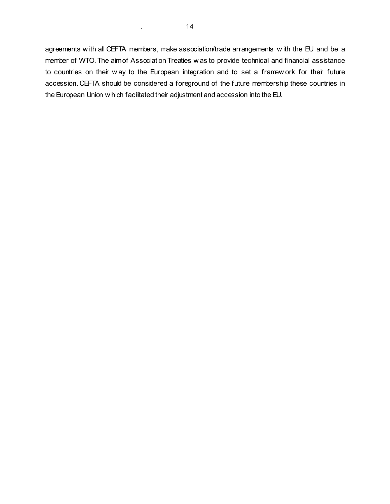agreements w ith all CEFTA members, make association/trade arrangements w ith the EU and be a member of WTO. The aimof Association Treaties w as to provide technical and financial assistance to countries on their w ay to the European integration and to set a framew ork for their future accession. CEFTA should be considered a foreground of the future membership these countries in the European Union w hich facilitated their adjustment and accession into the EU.